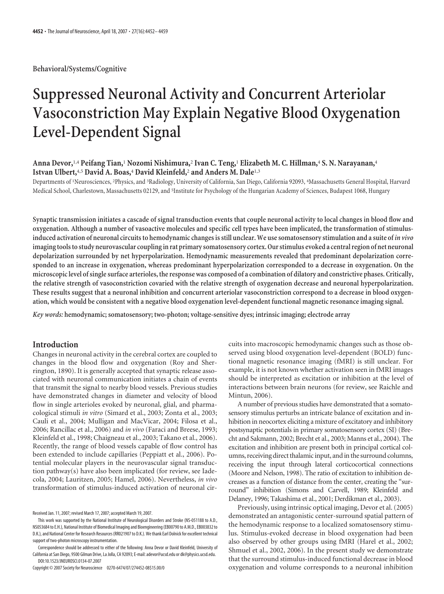**Behavioral/Systems/Cognitive**

# **Suppressed Neuronal Activity and Concurrent Arteriolar Vasoconstriction May Explain Negative Blood Oxygenation Level-Dependent Signal**

# **Anna Devor,**1,4 **Peifang Tian,**<sup>1</sup> **Nozomi Nishimura,**<sup>2</sup> **Ivan C. Teng,**<sup>1</sup> **Elizabeth M. C. Hillman,**<sup>4</sup> **S. N. Narayanan,**<sup>4</sup> **Istvan Ulbert,**4,5 **David A. Boas,**<sup>4</sup> **David Kleinfeld,**<sup>2</sup> **and Anders M. Dale**1,3

Departments of <sup>1</sup> Neurosciences, <sup>2</sup> Physics, and <sup>3</sup> Radiology, University of California, San Diego, California 92093, <sup>4</sup> Massachusetts General Hospital, Harvard Medical School, Charlestown, Massachusetts 02129, and <sup>5</sup>Institute for Psychology of the Hungarian Academy of Sciences, Budapest 1068, Hungary

**Synaptic transmission initiates a cascade of signal transduction events that couple neuronal activity to local changes in blood flow and oxygenation. Although a number of vasoactive molecules and specific cell types have been implicated, the transformation of stimulusinduced activation of neuronal circuits to hemodynamic changes is still unclear. We use somatosensory stimulation and a suite of** *in vivo* **imagingtoolsto study neurovascular coupling in rat primary somatosensory cortex. Our stimulus evoked a central region of net neuronal depolarization surrounded by net hyperpolarization. Hemodynamic measurements revealed that predominant depolarization corresponded to an increase in oxygenation, whereas predominant hyperpolarization corresponded to a decrease in oxygenation. On the microscopic level of single surface arterioles, the response was composed of a combination of dilatory and constrictive phases. Critically, the relative strength of vasoconstriction covaried with the relative strength of oxygenation decrease and neuronal hyperpolarization. These results suggest that a neuronal inhibition and concurrent arteriolar vasoconstriction correspond to a decrease in blood oxygenation, which would be consistent with a negative blood oxygenation level-dependent functional magnetic resonance imaging signal.**

*Key words:* **hemodynamic; somatosensory; two-photon; voltage-sensitive dyes; intrinsic imaging; electrode array**

## **Introduction**

Changes in neuronal activity in the cerebral cortex are coupled to changes in the blood flow and oxygenation (Roy and Sherrington, 1890). It is generally accepted that synaptic release associated with neuronal communication initiates a chain of events that transmit the signal to nearby blood vessels. Previous studies have demonstrated changes in diameter and velocity of blood flow in single arterioles evoked by neuronal, glial, and pharmacological stimuli *in vitro* (Simard et al., 2003; Zonta et al., 2003; Cauli et al., 2004; Mulligan and MacVicar, 2004; Filosa et al., 2006; Rancillac et al., 2006) and *in vivo* (Faraci and Breese, 1993; Kleinfeld et al., 1998; Chaigneau et al., 2003; Takano et al., 2006). Recently, the range of blood vessels capable of flow control has been extended to include capillaries (Peppiatt et al., 2006). Potential molecular players in the neurovascular signal transduction pathway(s) have also been implicated (for review, see Iadecola, 2004; Lauritzen, 2005; Hamel, 2006). Nevertheless, *in vivo* transformation of stimulus-induced activation of neuronal cir-

Copyright © 2007 Society for Neuroscience 0270-6474/07/274452-08\$15.00/0

cuits into macroscopic hemodynamic changes such as those observed using blood oxygenation level-dependent (BOLD) functional magnetic resonance imaging (fMRI) is still unclear. For example, it is not known whether activation seen in fMRI images should be interpreted as excitation or inhibition at the level of interactions between brain neurons (for review, see Raichle and Mintun, 2006).

A number of previous studies have demonstrated that a somatosensory stimulus perturbs an intricate balance of excitation and inhibition in neocortex eliciting a mixture of excitatory and inhibitory postsynaptic potentials in primary somatosensory cortex (SI) (Brecht and Sakmann, 2002; Brecht et al., 2003; Manns et al., 2004). The excitation and inhibition are present both in principal cortical columns, receiving direct thalamic input, and in the surround columns, receiving the input through lateral corticocortical connections (Moore and Nelson, 1998). The ratio of excitation to inhibition decreases as a function of distance from the center, creating the "surround" inhibition (Simons and Carvell, 1989; Kleinfeld and Delaney, 1996; Takashima et al., 2001; Derdikman et al., 2003).

Previously, using intrinsic optical imaging, Devor et al. (2005) demonstrated an antagonistic center-surround spatial pattern of the hemodynamic response to a localized somatosensory stimulus. Stimulus-evoked decrease in blood oxygenation had been also observed by other groups using fMRI (Harel et al., 2002; Shmuel et al., 2002, 2006). In the present study we demonstrate that the surround stimulus-induced functional decrease in blood oxygenation and volume corresponds to a neuronal inhibition

Received Jan. 11, 2007; revised March 17, 2007; accepted March 19, 2007.

This work was supported by the National Institute of Neurological Disorders and Stroke (NS-051188 to A.D., NS053684 to E.H.), National Institute of Biomedical Imaging and Bioengineering (EB00790 to A.M.D., EB003832 to D.K.), and National Center for Research Resources (RR021907 to D.K.). We thank Earl Dolnick for excellent technical support of two-photon microscopy instrumentation.

Correspondence should be addressed to either of the following: Anna Devor or David Kleinfeld, University of California at San Diego, 9500 Gilman Drive, La Jolla, CA 92093; E-mail: adevor@ucsd.edu or dk@physics.ucsd.edu. DOI:10.1523/JNEUROSCI.0134-07.2007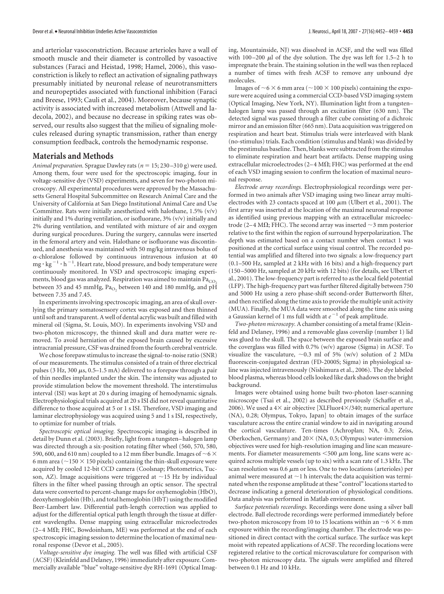and arteriolar vasoconstriction. Because arterioles have a wall of smooth muscle and their diameter is controlled by vasoactive substances (Faraci and Heistad, 1998; Hamel, 2006), this vasoconstriction is likely to reflect an activation of signaling pathways presumably initiated by neuronal release of neurotransmitters and neuropeptides associated with functional inhibition (Faraci and Breese, 1993; Cauli et al., 2004). Moreover, because synaptic activity is associated with increased metabolism (Attwell and Iadecola, 2002), and because no decrease in spiking rates was observed, our results also suggest that the milieu of signaling molecules released during synaptic transmission, rather than energy consumption feedback, controls the hemodynamic response.

#### **Materials and Methods**

*Animal preparation.* Sprague Dawley rats (*n* 15; 230 –310 g) were used. Among them, four were used for the spectroscopic imaging, four in voltage-sensitive dye (VSD) experiments, and seven for two-photon microscopy. All experimental procedures were approved by the Massachusetts General Hospital Subcommittee on Research Animal Care and the University of California at San Diego Institutional Animal Care and Use Committee. Rats were initially anesthetized with halothane, 1.5% (v/v) initially and 1% during ventilation, or isofluorane, 3% (v/v) initially and 2% during ventilation, and ventilated with mixture of air and oxygen during surgical procedures. During the surgery, cannulas were inserted in the femoral artery and vein. Halothane or isofluorane was discontinued, and anesthesia was maintained with 50 mg/kg intravenous bolus of  $\alpha$ -chloralose followed by continuous intravenous infusion at 40  $mg \cdot \text{kg}^{-1} \cdot \text{h}^{-1}$ . Heart rate, blood pressure, and body temperature were continuously monitored. In VSD and spectroscopic imaging experiments, blood gas was analyzed. Respiration was aimed to maintain  $Pa<sub>CO2</sub>$ between 35 and 45 mmHg,  $Pa<sub>O<sub>2</sub></sub>$  between 140 and 180 mmHg, and pH between 7.35 and 7.45.

In experiments involving spectroscopic imaging, an area of skull overlying the primary somatosensory cortex was exposed and then thinned until soft and transparent. A well of dental acrylic was built and filled with mineral oil (Sigma, St. Louis, MO). In experiments involving VSD and two-photon microscopy, the thinned skull and dura matter were removed. To avoid herniation of the exposed brain caused by excessive intracranial pressure, CSF was drained from the fourth cerebral ventricle.

We chose forepaw stimulus to increase the signal-to-noise ratio (SNR) of our measurements. The stimulus consisted of a train of three electrical pulses (3 Hz, 300  $\mu$ s, 0.5–1.5 mA) delivered to a forepaw through a pair of thin needles implanted under the skin. The intensity was adjusted to provide stimulation below the movement threshold. The interstimulus interval (ISI) was kept at 20 s during imaging of hemodynamic signals. Electrophysiological trials acquired at 20 s ISI did not reveal quantitative difference to those acquired at 5 or 1 s ISI. Therefore, VSD imaging and laminar electrophysiology was acquired using 5 and 1 s ISI, respectively, to optimize for number of trials.

*Spectroscopic optical imaging.* Spectroscopic imaging is described in detail by Dunn et al. (2003). Briefly, light from a tungsten– halogen lamp was directed through a six-position rotating filter wheel (560, 570, 580, 590, 600, and 610 nm) coupled to a 12 mm fiber bundle. Images of  ${\sim}6$   ${\times}$ 6 mm area ( $\sim$ 150  $\times$  150 pixels) containing the thin-skull exposure were acquired by cooled 12-bit CCD camera (Coolsnap; Photometrics, Tucson, AZ). Image acquisitions were triggered at  $\sim$ 15 Hz by individual filters in the filter wheel passing through an optic sensor. The spectral data were converted to percent-change maps for oxyhemoglobin (HbO), deoxyhemoglobin (Hb), and total hemoglobin (HbT) using the modified Beer-Lambert law. Differential path-length correction was applied to adjust for the differential optical path length through the tissue at different wavelengths. Dense mapping using extracellular microelectrodes  $(2-4 M\Omega; FHC, Bowdoinham, ME)$  was performed at the end of each spectroscopic imaging session to determine the location of maximal neuronal response (Devor et al., 2005).

*Voltage-sensitive dye imaging.* The well was filled with artificial CSF (ACSF) (Kleinfeld and Delaney, 1996) immediately after exposure. Commercially available "blue" voltage-sensitive dye RH-1691 (Optical Imaging, Mountainside, NJ) was dissolved in ACSF, and the well was filled with  $100-200$   $\mu$ l of the dye solution. The dye was left for 1.5–2 h to impregnate the brain. The staining solution in the well was then replaced a number of times with fresh ACSF to remove any unbound dye molecules.

Images of  $\sim$  6  $\times$  6 mm area ( $\sim$ 100  $\times$  100 pixels) containing the exposure were acquired using a commercial CCD-based VSD imaging system (Optical Imaging, New York, NY). Illumination light from a tungsten– halogen lamp was passed through an excitation filter (630 nm). The detected signal was passed through a filter cube consisting of a dichroic mirror and an emission filter (665 nm). Data acquisition was triggered on respiration and heart beat. Stimulus trials were interleaved with blank (no-stimulus) trials. Each condition (stimulus and blank) was divided by the prestimulus baseline. Then, blanks were subtracted from the stimulus to eliminate respiration and heart beat artifacts. Dense mapping using extracellular microelectrodes (2–4 M $\Omega$ ; FHC) was performed at the end of each VSD imaging session to confirm the location of maximal neuronal response.

*Electrode array recordings.* Electrophysiological recordings were performed in two animals after VSD imaging using two linear array multielectrodes with 23 contacts spaced at 100  $\mu$ m (Ulbert et al., 2001). The first array was inserted at the location of the maximal neuronal response as identified using previous mapping with an extracellular microelectrode (2–4 M $\Omega$ ; FHC). The second array was inserted  $\sim$ 3 mm posterior relative to the first within the region of surround hyperpolarization. The depth was estimated based on a contact number when contact 1 was positioned at the cortical surface using visual control. The recorded potential was amplified and filtered into two signals: a low-frequency part (0.1–500 Hz, sampled at 2 kHz with 16 bits) and a high-frequency part (150 –5000 Hz, sampled at 20 kHz with 12 bits) (for details, see Ulbert et al., 2001). The low-frequency part is referred to as the local field potential (LFP). The high-frequency part was further filtered digitally between 750 and 5000 Hz using a zero phase-shift second-order Butterworth filter, and then rectified along the time axis to provide the multiple unit activity (MUA). Finally, the MUA data were smoothed along the time axis using a Gaussian kernel of 1 ms full width at  $e^{-1}$  of peak amplitude.

*Two-photon microscopy.*A chamber consisting of a metal frame (Kleinfeld and Delaney, 1996) and a removable glass coverslip (number 1) lid was glued to the skull. The space between the exposed brain surface and the coverglass was filled with 0.7% (w/v) agarose (Sigma) in ACSF. To visualize the vasculature,  $\sim$  0.3 ml of 5% (w/v) solution of 2 MDa fluorescein-conjugated dextran (FD-2000S; Sigma) in physiological saline was injected intravenously (Nishimura et al., 2006). The dye labeled blood plasma, whereas blood cells looked like dark shadows on the bright background.

Images were obtained using home built two-photon laser-scanning microscope (Tsai et al., 2002) as described previously (Schaffer et al., 2006). We used a  $4\times$  air objective [XLFluor $4\times$ /340; numerical aperture (NA), 0.28; Olympus, Tokyo, Japan] to obtain images of the surface vasculature across the entire cranial window to aid in navigating around the cortical vasculature. Ten-times (Achroplan; NA, 0.3; Zeiss, Oberkochen, Germany) and  $20 \times (NA, 0.5;$  Olympus) water-immersion objectives were used for high-resolution imaging and line scan measurements. For diameter measurements  $<$  500  $\mu$ m long, line scans were acquired across multiple vessels (up to six) with a scan rate of 1.3 kHz. The scan resolution was 0.6  $\mu$ m or less. One to two locations (arterioles) per animal were measured at  $\sim$  1 h intervals; the data acquisition was terminated when the response amplitude at these "control" locations started to decrease indicating a general deterioration of physiological conditions. Data analysis was performed in Matlab environment.

*Surface potentials recordings.* Recordings were done using a silver ball electrode. Ball electrode recordings were performed immediately before two-photon microscopy from 10 to 15 locations within an  $\sim$  6  $\times$  6 mm exposure within the recording/imaging chamber. The electrode was positioned in direct contact with the cortical surface. The surface was kept moist with repeated applications of ACSF. The recording locations were registered relative to the cortical microvasculature for comparison with two-photon microscopy data. The signals were amplified and filtered between 0.1 Hz and 10 kHz.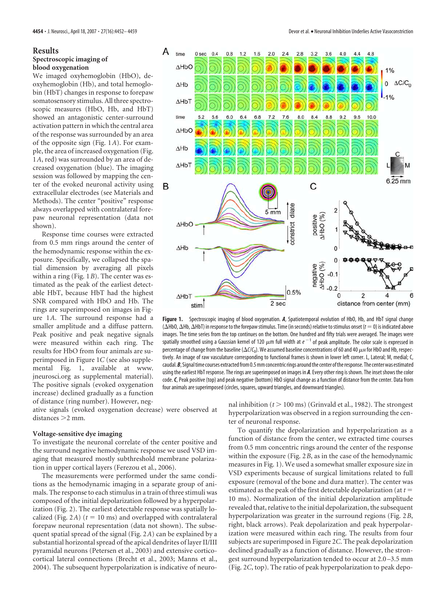#### **Results**

#### **Spectroscopic imaging of blood oxygenation**

We imaged oxyhemoglobin (HbO), deoxyhemoglobin (Hb), and total hemoglobin (HbT) changes in response to forepaw somatosensory stimulus. All three spectroscopic measures (HbO, Hb, and HbT) showed an antagonistic center-surround activation pattern in which the central area of the response was surrounded by an area of the opposite sign (Fig. 1*A*). For example, the area of increased oxygenation (Fig. 1*A*, red) was surrounded by an area of decreased oxygenation (blue). The imaging session was followed by mapping the center of the evoked neuronal activity using extracellular electrodes (see Materials and Methods). The center "positive" response always overlapped with contralateral forepaw neuronal representation (data not shown).

Response time courses were extracted from 0.5 mm rings around the center of the hemodynamic response within the exposure. Specifically, we collapsed the spatial dimension by averaging all pixels within a ring (Fig. 1*B*). The center was estimated as the peak of the earliest detectable HbT, because HbT had the highest SNR compared with HbO and Hb. The rings are superimposed on images in Figure 1*A*. The surround response had a smaller amplitude and a diffuse pattern. Peak positive and peak negative signals were measured within each ring. The results for HbO from four animals are superimposed in Figure 1*C* (see also supplemental Fig. 1, available at www. jneurosci.org as supplemental material). The positive signals (evoked oxygenation increase) declined gradually as a function of distance (ring number). However, neg-

ative signals (evoked oxygenation decrease) were observed at distances > 2 mm.

### **Voltage-sensitive dye imaging**

To investigate the neuronal correlate of the center positive and the surround negative hemodynamic response we used VSD imaging that measured mostly subthreshold membrane polarization in upper cortical layers (Ferezou et al., 2006).

The measurements were performed under the same conditions as the hemodynamic imaging in a separate group of animals. The response to each stimulus in a train of three stimuli was composed of the initial depolarization followed by a hyperpolarization (Fig. 2). The earliest detectable response was spatially localized (Fig. 2A)  $(t = 10 \text{ ms})$  and overlapped with contralateral forepaw neuronal representation (data not shown). The subsequent spatial spread of the signal (Fig. 2*A*) can be explained by a substantial horizontal spread of the apical dendrites of layer II/III pyramidal neurons (Petersen et al., 2003) and extensive corticocortical lateral connections (Brecht et al., 2003; Manns et al., 2004). The subsequent hyperpolarization is indicative of neuro-



**Figure 1.** Spectroscopic imaging of blood oxygenation. *A*, Spatiotemporal evolution of HbO, Hb, and HbT signal change ( $\Delta$ HbO,  $\Delta$ Hb<sub>I</sub>) in response to the forepaw stimulus. Time (in seconds) relative to stimulus onset ( $t=0$ ) is indicated above images. The time series from the top continues on the bottom. One hundred and fifty trials were averaged. The images were spatially smoothed using a Gaussian kernel of 120  $\mu$ m full width at  $e^{-1}$  of peak amplitude. The color scale is expressed in percentage of change from the baseline ( $\Delta$ C/C<sub>0</sub>). We assumed baseline concentrations of 60 and 40  $\mu$ м for HbO and Hb, respectively. An image of raw vasculature corresponding to functional frames is shown in lower left corner. L, Lateral; M, medial; C, caudal. B, Signal time courses extracted from 0.5 mm concentric rings around the center of the response. The center was estimated using the earliest HbT response. The rings are superimposed on images in *A*. Every other ring is shown. The inset shows the color code.*C*, Peak positive (top) and peak negative (bottom) HbO signal change as a function of distance from the center. Data from four animals are superimposed (circles, squares, upward triangles, and downward triangles).

nal inhibition  $(t > 100 \text{ ms})$  (Grinvald et al., 1982). The strongest hyperpolarization was observed in a region surrounding the center of neuronal response.

To quantify the depolarization and hyperpolarization as a function of distance from the center, we extracted time courses from 0.5 mm concentric rings around the center of the response within the exposure (Fig. 2*B*, as in the case of the hemodynamic measures in Fig. 1). We used a somewhat smaller exposure size in VSD experiments because of surgical limitations related to full exposure (removal of the bone and dura matter). The center was estimated as the peak of the first detectable depolarization (at *t* 10 ms). Normalization of the initial depolarization amplitude revealed that, relative to the initial depolarization, the subsequent hyperpolarization was greater in the surround regions (Fig. 2*B*, right, black arrows). Peak depolarization and peak hyperpolarization were measured within each ring. The results from four subjects are superimposed in Figure 2*C*. The peak depolarization declined gradually as a function of distance. However, the strongest surround hyperpolarization tended to occur at 2.0 –3.5 mm (Fig. 2*C*, top). The ratio of peak hyperpolarization to peak depo-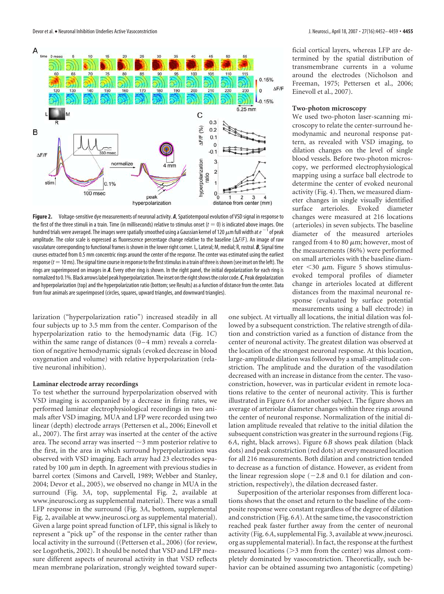

**Figure 2.** Voltage-sensitive dye measurements of neuronal activity. *A*, Spatiotemporal evolution of VSD signal in response to the first of the three stimuli in a train. Time (in milliseconds) relative to stimulus onset ( $t = 0$ ) is indicated above images. One hundred trials were averaged. The images were spatially smoothed using a Gaussian kernel of 120  $\mu$ m full width at  $e^{-\hat{1}}$  of peak amplitude. The color scale is expressed as fluorescence percentage change relative to the baseline ( $\Delta F/F$ ). An image of raw vasculature corresponding to functional frames is shown in the lower right corner. L, Lateral; M, medial; R, rostral. *B*, Signal time courses extracted from 0.5 mm concentric rings around the center of the response. The center was estimated using the earliest response ( $t=10$ ms). The signal time course in response to the first stimulus in a train of three is shown (see inset on the left). The rings are superimposed on images in *A*. Every other ring is shown. In the right panel, the initial depolarization for each ring is normalized to 0.1%. Black arrows label peak hyperpolarization. The inset on the right shows the color code. C, Peak depolarization and hyperpolarization (top) and the hyperpolarization ratio (bottom; see Results) as a function of distance from the center. Data from four animals are superimposed (circles, squares, upward triangles, and downward triangles).

larization ("hyperpolarization ratio") increased steadily in all four subjects up to 3.5 mm from the center. Comparison of the hyperpolarization ratio to the hemodynamic data (Fig. 1*C*) within the same range of distances  $(0-4$  mm) reveals a correlation of negative hemodynamic signals (evoked decrease in blood oxygenation and volume) with relative hyperpolarization (relative neuronal inhibition).

#### **Laminar electrode array recordings**

To test whether the surround hyperpolarization observed with VSD imaging is accompanied by a decrease in firing rates, we performed laminar electrophysiological recordings in two animals after VSD imaging. MUA and LFP were recorded using two linear (depth) electrode arrays (Pettersen et al., 2006; Einevoll et al., 2007). The first array was inserted at the center of the active area. The second array was inserted  $\sim$ 3 mm posterior relative to the first, in the area in which surround hyperpolarization was observed with VSD imaging. Each array had 23 electrodes separated by 100  $\mu$ m in depth. In agreement with previous studies in barrel cortex (Simons and Carvell, 1989; Webber and Stanley, 2004; Devor et al., 2005), we observed no change in MUA in the surround (Fig. 3*A*, top, supplemental Fig. 2, available at www.jneurosci.org as supplemental material). There was a small LFP response in the surround (Fig. 3*A*, bottom, supplemental Fig. 2, available at www.jneurosci.org as supplemental material). Given a large point spread function of LFP, this signal is likely to represent a "pick up" of the response in the center rather than local activity in the surround ((Pettersen et al., 2006) (for review, see Logothetis, 2002). It should be noted that VSD and LFP measure different aspects of neuronal activity in that VSD reflects mean membrane polarization, strongly weighted toward superficial cortical layers, whereas LFP are determined by the spatial distribution of transmembrane currents in a volume around the electrodes (Nicholson and Freeman, 1975; Pettersen et al., 2006; Einevoll et al., 2007).

#### **Two-photon microscopy**

We used two-photon laser-scanning microscopy to relate the center-surround hemodynamic and neuronal response pattern, as revealed with VSD imaging, to dilation changes on the level of single blood vessels. Before two-photon microscopy, we performed electrophysiological mapping using a surface ball electrode to determine the center of evoked neuronal activity (Fig. 4). Then, we measured diameter changes in single visually identified surface arterioles. Evoked diameter changes were measured at 216 locations (arterioles) in seven subjects. The baseline diameter of the measured arterioles ranged from 4 to 80  $\mu$ m; however, most of the measurements (86%) were performed on small arterioles with the baseline diameter  $<$ 30  $\mu$ m. Figure 5 shows stimulusevoked temporal profiles of diameter change in arterioles located at different distances from the maximal neuronal response (evaluated by surface potential measurements using a ball electrode) in

one subject. At virtually all locations, the initial dilation was followed by a subsequent constriction. The relative strength of dilation and constriction varied as a function of distance from the center of neuronal activity. The greatest dilation was observed at the location of the strongest neuronal response. At this location, large-amplitude dilation was followed by a small-amplitude constriction. The amplitude and the duration of the vasodilation decreased with an increase in distance from the center. The vasoconstriction, however, was in particular evident in remote locations relative to the center of neuronal activity. This is further illustrated in Figure 6*A* for another subject. The figure shows an average of arteriolar diameter changes within three rings around the center of neuronal response. Normalization of the initial dilation amplitude revealed that relative to the initial dilation the subsequent constriction was greater in the surround regions (Fig. 6*A*, right, black arrows). Figure 6*B* shows peak dilation (black dots) and peak constriction (red dots) at every measured location for all 216 measurements. Both dilation and constriction tended to decrease as a function of distance. However, as evident from the linear regression slope  $(-2.8$  and 0.1 for dilation and constriction, respectively), the dilation decreased faster.

Superposition of the arteriolar responses from different locations shows that the onset and return to the baseline of the composite response were constant regardless of the degree of dilation and constriction (Fig. 6*A*). At the same time, the vasoconstriction reached peak faster further away from the center of neuronal activity (Fig. 6*A*, supplemental Fig. 3, available at www.jneurosci. org as supplemental material). In fact, the response at the furthest measured locations  $(>3$  mm from the center) was almost completely dominated by vasoconstriction. Theoretically, such behavior can be obtained assuming two antagonistic (competing)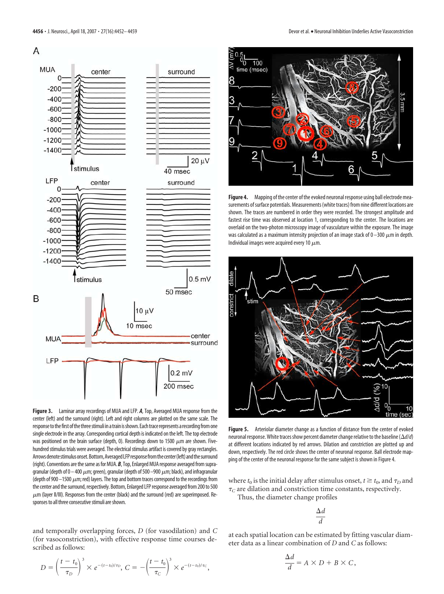

**Figure 3.** Laminar array recordings of MUA and LFP. *A*, Top, Averaged MUA response from the center (left) and the surround (right). Left and right columns are plotted on the same scale. The response to the first of the three stimuli in a train is shown. Each trace represents a recording from one single electrode in the array. Corresponding cortical depth is indicated on the left. The top electrode was positioned on the brain surface (depth, 0). Recordings down to 1500  $\mu$ m are shown. Fivehundred stimulus trials were averaged. The electrical stimulus artifact is covered by gray rectangles. Arrows denote stimulus onset. Bottom, Averaged LFP response from the center (left) and the surround (right). Conventions are the same as for MUA. *B*, Top, Enlarged MUA response averaged from supragranular (depth of 0 – 400  $\mu$ m; green), granular (depth of 500 –900  $\mu$ m; black), and infragranular (depth of 900 –1500  $\mu$ m; red) layers. The top and bottom traces correspond to the recordings from the center and the surround, respectively. Bottom, Enlarged LFP response averaged from 200 to 500  $\mu$ m (layer II/III). Responses from the center (black) and the surround (red) are superimposed. Responses to all three consecutive stimuli are shown.

and temporally overlapping forces, *D* (for vasodilation) and *C* (for vasoconstriction), with effective response time courses described as follows:

$$
D = \left(\frac{t - t_0}{\tau_D}\right)^3 \times e^{-(t - t_0)/\tau_D}, \ C = -\left(\frac{t - t_0}{\tau_C}\right)^3 \times e^{-(t - t_0)/\tau_C},
$$



**Figure 4.** Mapping of the center of the evoked neuronal response using ball electrode measurements of surface potentials. Measurements (white traces) from nine different locations are shown. The traces are numbered in order they were recorded. The strongest amplitude and fastest rise time was observed at location 1, corresponding to the center. The locations are overlaid on the two-photon microscopy image of vasculature within the exposure. The image was calculated as a maximum intensity projection of an image stack of 0–300  $\mu$ m in depth. Individual images were acquired every 10  $\mu$ m.



**Figure 5.** Arteriolar diameter change as a function of distance from the center of evoked neuronal response.White tracesshow percent diameter change relative to the baseline (*d*/*d*) at different locations indicated by red arrows. Dilation and constriction are plotted up and down, respectively. The red circle shows the center of neuronal response. Ball electrode mapping of the center of the neuronal response for the same subject is shown in Figure 4.

where  $t_0$  is the initial delay after stimulus onset,  $t \ge t_0$ , and  $\tau_D$  and  $\tau_C$  are dilation and constriction time constants, respectively.

Thus, the diameter change profiles

$$
\frac{\Delta d}{d}
$$

at each spatial location can be estimated by fitting vascular diameter data as a linear combination of *D* and *C* as follows:

$$
\frac{\Delta d}{d} = A \times D + B \times C,
$$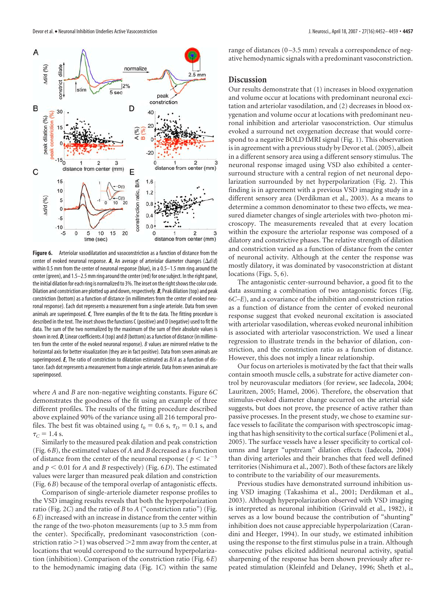

**Figure 6.** Arteriolar vasodilatation and vasoconstriction as a function of distance from the center of evoked neuronal response. A, An average of arteriolar diameter changes  $(\Delta d/d)$ within 0.5 mm from the center of neuronal response (blue), in a 0.5–1.5 mm ring around the center (green), and 1.5–2.5 mm ring around the center (red) for onesubject. In the right panel, the initial dilation for each ring is normalized to 3%. The inset on the right shows the color code. Dilation and constriction are plotted up and down, respectively. *B*, Peak dilation (top) and peak constriction (bottom) as a function of distance (in millimeters from the center of evoked neuronal response). Each dot represents a measurement from a single arteriole. Data from seven animals are superimposed. *C*, Three examples of the fit to the data. The fitting procedure is described in the text. The inset shows the functions C (positive) and D (negative) used to fit the data. The sum of the two normalized by the maximum of the sum of their absolute values is shown in red. *D*, Linear coefficients *A* (top) and *B* (bottom) as a function of distance (in millimeters from the center of the evoked neuronal response). *B* values are mirrored relative to the horizontal axis for better visualization (they are in fact positive). Data from seven animals are superimposed. *E*, The ratio of constriction to dilatation estimated as *B*/*A* as a function of distance. Each dot represents a measurement from asingle arteriole. Data fromseven animals are superimposed.

where *A* and *B* are non-negative weighting constants. Figure 6*C* demonstrates the goodness of the fit using an example of three different profiles. The results of the fitting procedure described above explained 90% of the variance using all 216 temporal profiles. The best fit was obtained using  $t_0 = 0.6$  s,  $\tau_D = 0.1$  s, and  $\tau_C = 1.4$  s.

Similarly to the measured peak dilation and peak constriction (Fig. 6*B*), the estimated values of *A* and *B* decreased as a function of distance from the center of the neuronal response ( $p < 1e^{-5}$ and  $p < 0.01$  for *A* and *B* respectively) (Fig. 6*D*). The estimated values were larger than measured peak dilation and constriction (Fig. 6*B*) because of the temporal overlap of antagonistic effects.

Comparison of single-arteriole diameter response profiles to the VSD imaging results reveals that both the hyperpolarization ratio (Fig. 2*C*) and the ratio of *B* to *A* ("constriction ratio") (Fig. 6*E*) increased with an increase in distance from the center within the range of the two-photon measurements (up to 3.5 mm from the center). Specifically, predominant vasoconstriction (constriction ratio  $>1$ ) was observed  $>2$  mm away from the center, at locations that would correspond to the surround hyperpolarization (inhibition). Comparison of the constriction ratio (Fig. 6*E*) to the hemodynamic imaging data (Fig. 1*C*) within the same

range of distances (0-3.5 mm) reveals a correspondence of negative hemodynamic signals with a predominant vasoconstriction.

# **Discussion**

Our results demonstrate that (1) increases in blood oxygenation and volume occur at locations with predominant neuronal excitation and arteriolar vasodilation, and (2) decreases in blood oxygenation and volume occur at locations with predominant neuronal inhibition and arteriolar vasoconstriction. Our stimulus evoked a surround net oxygenation decrease that would correspond to a negative BOLD fMRI signal (Fig. 1). This observation is in agreement with a previous study by Devor et al. (2005), albeit in a different sensory area using a different sensory stimulus. The neuronal response imaged using VSD also exhibited a centersurround structure with a central region of net neuronal depolarization surrounded by net hyperpolarization (Fig. 2). This finding is in agreement with a previous VSD imaging study in a different sensory area (Derdikman et al., 2003). As a means to determine a common denominator to these two effects, we measured diameter changes of single arterioles with two-photon microscopy. The measurements revealed that at every location within the exposure the arteriolar response was composed of a dilatory and constrictive phases. The relative strength of dilation and constriction varied as a function of distance from the center of neuronal activity. Although at the center the response was mostly dilatory, it was dominated by vasoconstriction at distant locations (Figs. 5, 6).

The antagonistic center-surround behavior, a good fit to the data assuming a combination of two antagonistic forces (Fig. 6*C–E*), and a covariance of the inhibition and constriction ratios as a function of distance from the center of evoked neuronal response suggest that evoked neuronal excitation is associated with arteriolar vasodilation, whereas evoked neuronal inhibition is associated with arteriolar vasoconstriction. We used a linear regression to illustrate trends in the behavior of dilation, constriction, and the constriction ratio as a function of distance. However, this does not imply a linear relationship.

Our focus on arterioles is motivated by the fact that their walls contain smooth muscle cells, a substrate for active diameter control by neurovascular mediators (for review, see Iadecola, 2004; Lauritzen, 2005; Hamel, 2006). Therefore, the observation that stimulus-evoked diameter change occurred on the arterial side suggests, but does not prove, the presence of active rather than passive processes. In the present study, we chose to examine surface vessels to facilitate the comparison with spectroscopic imaging that has high sensitivity to the cortical surface (Polimeni et al., 2005). The surface vessels have a lesser specificity to cortical columns and larger "upstream" dilation effects (Iadecola, 2004) than diving arterioles and their branches that feed well defined territories (Nishimura et al., 2007). Both of these factors are likely to contribute to the variability of our measurements.

Previous studies have demonstrated surround inhibition using VSD imaging (Takashima et al., 2001; Derdikman et al., 2003). Although hyperpolarization observed with VSD imaging is interpreted as neuronal inhibition (Grinvald et al., 1982), it serves as a low bound because the contribution of "shunting" inhibition does not cause appreciable hyperpolarization (Carandini and Heeger, 1994). In our study, we estimated inhibition using the response to the first stimulus pulse in a train. Although consecutive pulses elicited additional neuronal activity, spatial sharpening of the response has been shown previously after repeated stimulation (Kleinfeld and Delaney, 1996; Sheth et al.,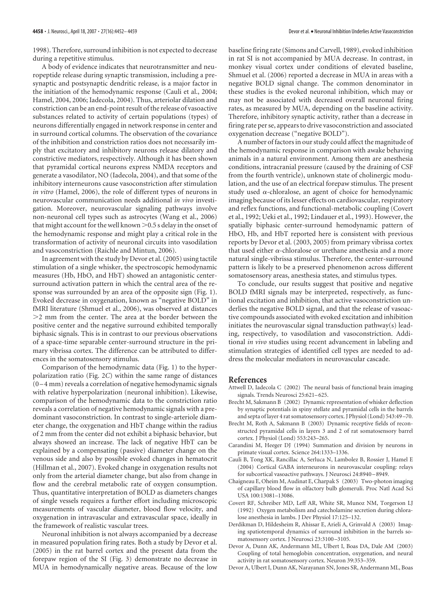1998). Therefore, surround inhibition is not expected to decrease during a repetitive stimulus.

A body of evidence indicates that neurotransmitter and neuropeptide release during synaptic transmission, including a presynaptic and postsynaptic dendritic release, is a major factor in the initiation of the hemodynamic response (Cauli et al., 2004; Hamel, 2004, 2006; Iadecola, 2004). Thus, arteriolar dilation and constriction can be an end-point result of the release of vasoactive substances related to activity of certain populations (types) of neurons differentially engaged in network response in center and in surround cortical columns. The observation of the covariance of the inhibition and constriction ratios does not necessarily imply that excitatory and inhibitory neurons release dilatory and constrictive mediators, respectively. Although it has been shown that pyramidal cortical neurons express NMDA receptors and generate a vasodilator, NO (Iadecola, 2004), and that some of the inhibitory interneurons cause vasoconstriction after stimulation *in vitro* (Hamel, 2006), the role of different types of neurons in neurovascular communication needs additional *in vivo* investigation. Moreover, neurovascular signaling pathways involve non-neuronal cell types such as astrocytes (Wang et al., 2006) that might account for the well known  $> 0.5$  s delay in the onset of the hemodynamic response and might play a critical role in the transformation of activity of neuronal circuits into vasodilation and vasoconstriction (Raichle and Mintun, 2006).

In agreement with the study by Devor et al. (2005) using tactile stimulation of a single whisker, the spectroscopic hemodynamic measures (Hb, HbO, and HbT) showed an antagonistic centersurround activation pattern in which the central area of the response was surrounded by an area of the opposite sign (Fig. 1). Evoked decrease in oxygenation, known as "negative BOLD" in fMRI literature (Shmuel et al., 2006), was observed at distances  $>$ 2 mm from the center. The area at the border between the positive center and the negative surround exhibited temporally biphasic signals. This is in contrast to our previous observations of a space-time separable center-surround structure in the primary vibrissa cortex. The difference can be attributed to differences in the somatosensory stimulus.

Comparison of the hemodynamic data (Fig. 1) to the hyperpolarization ratio (Fig. 2*C*) within the same range of distances (0 –4 mm) reveals a correlation of negative hemodynamic signals with relative hyperpolarization (neuronal inhibition). Likewise, comparison of the hemodynamic data to the constriction ratio reveals a correlation of negative hemodynamic signals with a predominant vasoconstriction. In contrast to single-arteriole diameter change, the oxygenation and HbT change within the radius of 2 mm from the center did not exhibit a biphasic behavior, but always showed an increase. The lack of negative HbT can be explained by a compensating (passive) diameter change on the venous side and also by possible evoked changes in hematocrit (Hillman et al., 2007). Evoked change in oxygenation results not only from the arterial diameter change, but also from change in flow and the cerebral metabolic rate of oxygen consumption. Thus, quantitative interpretation of BOLD as diameters changes of single vessels requires a further effort including microscopic measurements of vascular diameter, blood flow velocity, and oxygenation in intravascular and extravascular space, ideally in the framework of realistic vascular trees.

Neuronal inhibition is not always accompanied by a decrease in measured population firing rates. Both a study by Devor et al. (2005) in the rat barrel cortex and the present data from the forepaw region of the SI (Fig. 3) demonstrate no decrease in MUA in hemodynamically negative areas. Because of the low

baseline firing rate (Simons and Carvell, 1989), evoked inhibition in rat SI is not accompanied by MUA decrease. In contrast, in monkey visual cortex under conditions of elevated baseline, Shmuel et al. (2006) reported a decrease in MUA in areas with a negative BOLD signal change. The common denominator in these studies is the evoked neuronal inhibition, which may or may not be associated with decreased overall neuronal firing rates, as measured by MUA, depending on the baseline activity. Therefore, inhibitory synaptic activity, rather than a decrease in firing rate per se, appears to drive vasoconstriction and associated oxygenation decrease ("negative BOLD").

A number of factors in our study could affect the magnitude of the hemodynamic response in comparison with awake behaving animals in a natural environment. Among them are anesthesia conditions, intracranial pressure (caused by the draining of CSF from the fourth ventricle), unknown state of cholinergic modulation, and the use of an electrical forepaw stimulus. The present study used  $\alpha$ -chloralose, an agent of choice for hemodynamic imaging because of its lesser effects on cardiovascular, respiratory and reflex functions, and functional-metabolic coupling (Covert et al., 1992; Ueki et al., 1992; Lindauer et al., 1993). However, the spatially biphasic center-surround hemodynamic pattern of HbO, Hb, and HbT reported here is consistent with previous reports by Devor et al. (2003, 2005) from primary vibrissa cortex that used either  $\alpha$ -chloralose or urethane anesthesia and a more natural single-vibrissa stimulus. Therefore, the center-surround pattern is likely to be a preserved phenomenon across different somatosensory areas, anesthesia states, and stimulus types.

To conclude, our results suggest that positive and negative BOLD fMRI signals may be interpreted, respectively, as functional excitation and inhibition, that active vasoconstriction underlies the negative BOLD signal, and that the release of vasoactive compounds associated with evoked excitation and inhibition initiates the neurovascular signal transduction pathway(s) leading, respectively, to vasodilation and vasoconstriction. Additional *in vivo* studies using recent advancement in labeling and stimulation strategies of identified cell types are needed to address the molecular mediators in neurovascular cascade.

## **References**

- Attwell D, Iadecola C (2002) The neural basis of functional brain imaging signals. Trends Neurosci 25:621–625.
- Brecht M, Sakmann B (2002) Dynamic representation of whisker deflection by synaptic potentials in spiny stellate and pyramidal cells in the barrels and septa of layer 4 rat somatosensory cortex. J Physiol (Lond) 543:49 –70.
- Brecht M, Roth A, Sakmann B (2003) Dynamic receptive fields of reconstructed pyramidal cells in layers 3 and 2 of rat somatosensory barrel cortex. J Physiol (Lond) 553:243–265.
- Carandini M, Heeger DJ (1994) Summation and division by neurons in primate visual cortex. Science 264:1333–1336.
- Cauli B, Tong XK, Rancillac A, Serluca N, Lambolez B, Rossier J, Hamel E (2004) Cortical GABA interneurons in neurovascular coupling: relays for subcortical vasoactive pathways. J Neurosci 24:8940 –8949.
- Chaigneau E, Oheim M, Audinat E, Charpak S (2003) Two-photon imaging of capillary blood flow in olfactory bulb glomeruli. Proc Natl Acad Sci USA 100:13081–13086.
- Covert RF, Schreiber MD, Leff AR, White SR, Munoz NM, Torgerson LJ (1992) Oxygen metabolism and catecholamine secretion during chloralose anesthesia in lambs. J Dev Physiol 17:125–132.
- Derdikman D, Hildesheim R, Ahissar E, Arieli A, Grinvald A (2003) Imaging spatiotemporal dynamics of surround inhibition in the barrels somatosensory cortex. J Neurosci 23:3100 –3105.
- Devor A, Dunn AK, Andermann ML, Ulbert I, Boas DA, Dale AM (2003) Coupling of total hemoglobin concentration, oxygenation, and neural activity in rat somatosensory cortex. Neuron 39:353–359.
- Devor A, Ulbert I, Dunn AK, Narayanan SN, Jones SR, Andermann ML, Boas